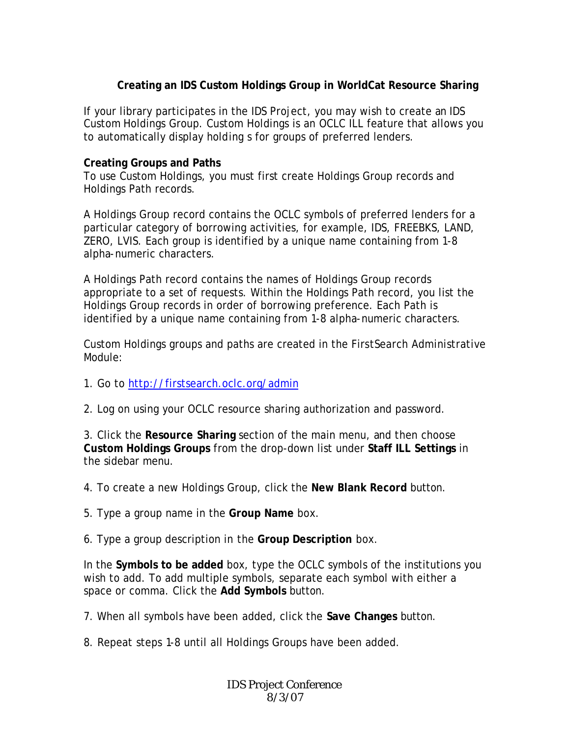## **Creating an IDS Custom Holdings Group in WorldCat Resource Sharing**

If your library participates in the IDS Project, you may wish to create an IDS Custom Holdings Group. Custom Holdings is an OCLC ILL feature that allows you to automatically display holding s for groups of preferred lenders.

## **Creating Groups and Paths**

To use Custom Holdings, you must first create Holdings Group records and Holdings Path records.

A Holdings Group record contains the OCLC symbols of preferred lenders for a particular category of borrowing activities, for example, IDS, FREEBKS, LAND, ZERO, LVIS. Each group is identified by a unique name containing from 1-8 alpha-numeric characters.

A Holdings Path record contains the names of Holdings Group records appropriate to a set of requests. Within the Holdings Path record, you list the Holdings Group records in order of borrowing preference. Each Path is identified by a unique name containing from 1-8 alpha-numeric characters.

Custom Holdings groups and paths are created in the FirstSearch Administrative Module:

- 1. Go to http://firstsearch.oclc.org/admin
- 2. Log on using your OCLC resource sharing authorization and password.

3. Click the **Resource Sharing** section of the main menu, and then choose **Custom Holdings Groups** from the drop-down list under **Staff ILL Settings** in the sidebar menu.

- 4. To create a new Holdings Group, click the **New Blank Record** button.
- 5. Type a group name in the **Group Name** box.

6. Type a group description in the **Group Description** box.

In the **Symbols to be added** box, type the OCLC symbols of the institutions you wish to add. To add multiple symbols, separate each symbol with either a space or comma. Click the **Add Symbols** button.

- 7. When all symbols have been added, click the **Save Changes** button.
- 8. Repeat steps 1-8 until all Holdings Groups have been added.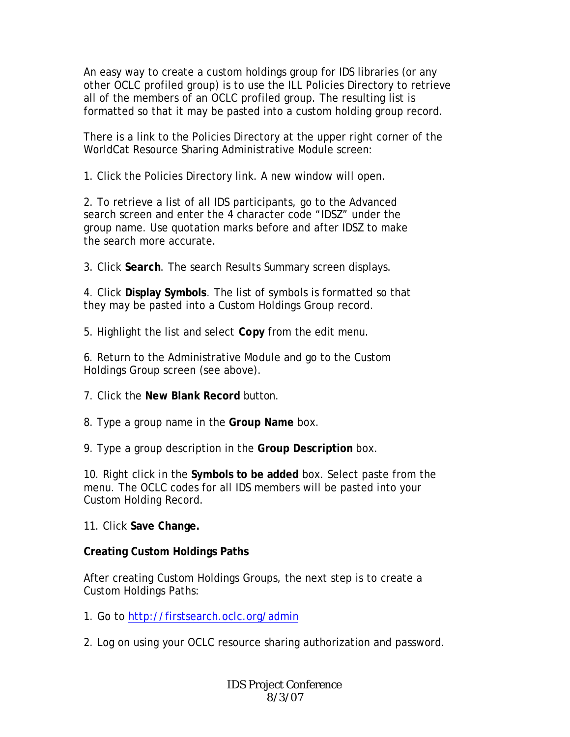An easy way to create a custom holdings group for IDS libraries (or any other OCLC profiled group) is to use the ILL Policies Directory to retrieve all of the members of an OCLC profiled group. The resulting list is formatted so that it may be pasted into a custom holding group record.

There is a link to the Policies Directory at the upper right corner of the WorldCat Resource Sharing Administrative Module screen:

1. Click the Policies Directory link. A new window will open.

2. To retrieve a list of all IDS participants, go to the Advanced search screen and enter the 4 character code "IDSZ" under the group name. Use quotation marks before and after IDSZ to make the search more accurate.

3. Click **Search**. The search Results Summary screen displays.

4. Click **Display Symbols**. The list of symbols is formatted so that they may be pasted into a Custom Holdings Group record.

5. Highlight the list and select **Copy** from the edit menu.

6. Return to the Administrative Module and go to the Custom Holdings Group screen (see above).

- 7. Click the **New Blank Record** button.
- 8. Type a group name in the **Group Name** box.

9. Type a group description in the **Group Description** box.

10. Right click in the **Symbols to be added** box. Select paste from the menu. The OCLC codes for all IDS members will be pasted into your Custom Holding Record.

11. Click **Save Change.**

## **Creating Custom Holdings Paths**

After creating Custom Holdings Groups, the next step is to create a Custom Holdings Paths:

- 1. Go to http://firstsearch.oclc.org/admin
- 2. Log on using your OCLC resource sharing authorization and password.

IDS Project Conference 8/3/07